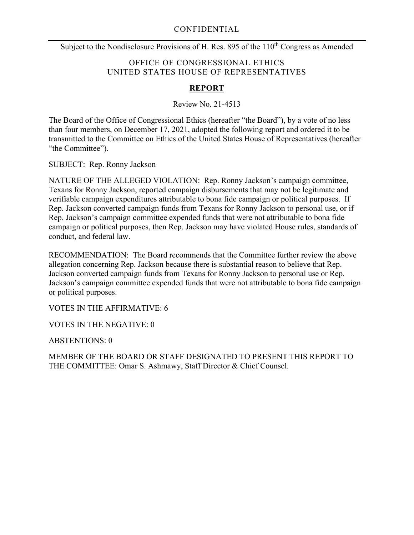Subject to the Nondisclosure Provisions of H. Res. 895 of the 110<sup>th</sup> Congress as Amended

### OFFICE OF CONGRESSIONAL ETHICS UNITED STATES HOUSE OF REPRESENTATIVES

#### **REPORT**

Review No. 21-4513

The Board of the Office of Congressional Ethics (hereafter "the Board"), by a vote of no less than four members, on December 17, 2021, adopted the following report and ordered it to be transmitted to the Committee on Ethics of the United States House of Representatives (hereafter "the Committee").

SUBJECT: Rep. Ronny Jackson

NATURE OF THE ALLEGED VIOLATION: Rep. Ronny Jackson's campaign committee, Texans for Ronny Jackson, reported campaign disbursements that may not be legitimate and verifiable campaign expenditures attributable to bona fide campaign or political purposes. If Rep. Jackson converted campaign funds from Texans for Ronny Jackson to personal use, or if Rep. Jackson's campaign committee expended funds that were not attributable to bona fide campaign or political purposes, then Rep. Jackson may have violated House rules, standards of conduct, and federal law.

RECOMMENDATION: The Board recommends that the Committee further review the above allegation concerning Rep. Jackson because there is substantial reason to believe that Rep. Jackson converted campaign funds from Texans for Ronny Jackson to personal use or Rep. Jackson's campaign committee expended funds that were not attributable to bona fide campaign or political purposes.

VOTES IN THE AFFIRMATIVE: 6

VOTES IN THE NEGATIVE: 0

ABSTENTIONS: 0

MEMBER OF THE BOARD OR STAFF DESIGNATED TO PRESENT THIS REPORT TO THE COMMITTEE: Omar S. Ashmawy, Staff Director & Chief Counsel.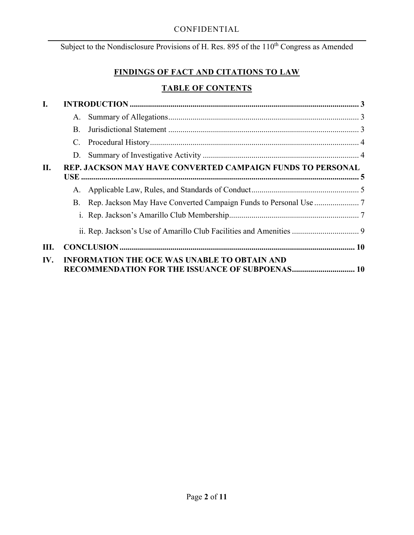Subject to the Nondisclosure Provisions of H. Res. 895 of the 110<sup>th</sup> Congress as Amended

# **FINDINGS OF FACT AND CITATIONS TO LAW**

# **TABLE OF CONTENTS**

| I.  |                                                                   |                                                                     |  |
|-----|-------------------------------------------------------------------|---------------------------------------------------------------------|--|
|     | A.                                                                |                                                                     |  |
|     | B.                                                                |                                                                     |  |
|     | C.                                                                |                                                                     |  |
|     | D.                                                                |                                                                     |  |
| II. | <b>REP. JACKSON MAY HAVE CONVERTED CAMPAIGN FUNDS TO PERSONAL</b> |                                                                     |  |
|     | A.                                                                |                                                                     |  |
|     | В.                                                                |                                                                     |  |
|     |                                                                   |                                                                     |  |
|     |                                                                   | ii. Rep. Jackson's Use of Amarillo Club Facilities and Amenities  9 |  |
| Ш.  |                                                                   |                                                                     |  |
| IV. | <b>INFORMATION THE OCE WAS UNABLE TO OBTAIN AND</b>               |                                                                     |  |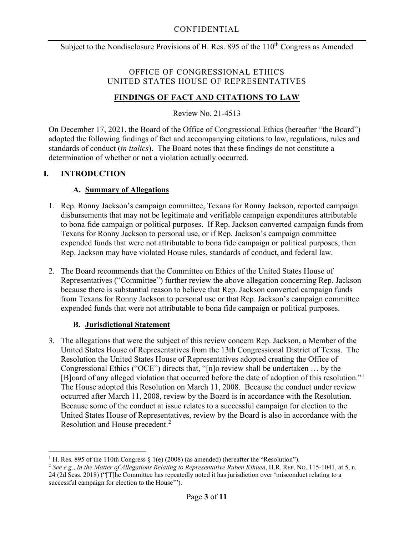### OFFICE OF CONGRESSIONAL ETHICS UNITED STATES HOUSE OF REPRESENTATIVES

# **FINDINGS OF FACT AND CITATIONS TO LAW**

Review No. 21-4513

On December 17, 2021, the Board of the Office of Congressional Ethics (hereafter "the Board") adopted the following findings of fact and accompanying citations to law, regulations, rules and standards of conduct (*in italics*). The Board notes that these findings do not constitute a determination of whether or not a violation actually occurred.

# <span id="page-2-1"></span><span id="page-2-0"></span>**I. INTRODUCTION**

### **A. Summary of Allegations**

- 1. Rep. Ronny Jackson's campaign committee, Texans for Ronny Jackson, reported campaign disbursements that may not be legitimate and verifiable campaign expenditures attributable to bona fide campaign or political purposes. If Rep. Jackson converted campaign funds from Texans for Ronny Jackson to personal use, or if Rep. Jackson's campaign committee expended funds that were not attributable to bona fide campaign or political purposes, then Rep. Jackson may have violated House rules, standards of conduct, and federal law.
- 2. The Board recommends that the Committee on Ethics of the United States House of Representatives ("Committee") further review the above allegation concerning Rep. Jackson because there is substantial reason to believe that Rep. Jackson converted campaign funds from Texans for Ronny Jackson to personal use or that Rep. Jackson's campaign committee expended funds that were not attributable to bona fide campaign or political purposes.

### **B. Jurisdictional Statement**

<span id="page-2-2"></span>3. The allegations that were the subject of this review concern Rep. Jackson, a Member of the United States House of Representatives from the 13th Congressional District of Texas. The Resolution the United States House of Representatives adopted creating the Office of Congressional Ethics ("OCE") directs that, "[n]o review shall be undertaken … by the [B]oard of any alleged violation that occurred before the date of adoption of this resolution."<sup>[1](#page-2-3)</sup> The House adopted this Resolution on March 11, 2008. Because the conduct under review occurred after March 11, 2008, review by the Board is in accordance with the Resolution. Because some of the conduct at issue relates to a successful campaign for election to the United States House of Representatives, review by the Board is also in accordance with the Resolution and House precedent.<sup>[2](#page-2-4)</sup>

<span id="page-2-3"></span><sup>&</sup>lt;sup>1</sup> H. Res. 895 of the 110th Congress § 1(e) (2008) (as amended) (hereafter the "Resolution").

<span id="page-2-4"></span><sup>2</sup> *See e.g.*, *In the Matter of Allegations Relating to Representative Ruben Kihuen*, H.R. REP. NO. 115-1041, at 5, n. 24 (2d Sess. 2018) ("[T]he Committee has repeatedly noted it has jurisdiction over 'misconduct relating to a successful campaign for election to the House'").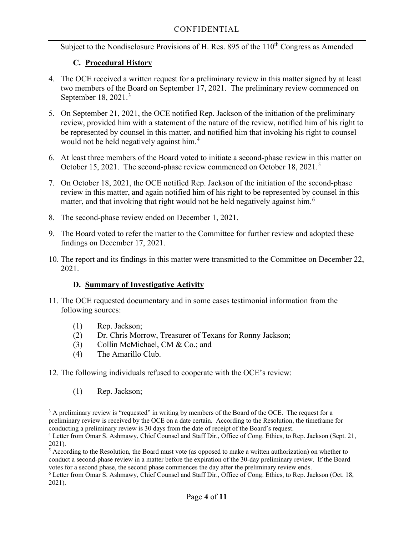## **C. Procedural History**

- <span id="page-3-0"></span>4. The OCE received a written request for a preliminary review in this matter signed by at least two members of the Board on September 17, 2021. The preliminary review commenced on September 18, 2021. [3](#page-3-2)
- 5. On September 21, 2021, the OCE notified Rep. Jackson of the initiation of the preliminary review, provided him with a statement of the nature of the review, notified him of his right to be represented by counsel in this matter, and notified him that invoking his right to counsel would not be held negatively against him. [4](#page-3-3)
- 6. At least three members of the Board voted to initiate a second-phase review in this matter on October 1[5](#page-3-4), 2021. The second-phase review commenced on October 18, 2021.<sup>5</sup>
- 7. On October 18, 2021, the OCE notified Rep. Jackson of the initiation of the second-phase review in this matter, and again notified him of his right to be represented by counsel in this matter, and that invoking that right would not be held negatively against him.<sup>[6](#page-3-5)</sup>
- 8. The second-phase review ended on December 1, 2021.
- 9. The Board voted to refer the matter to the Committee for further review and adopted these findings on December 17, 2021.
- 10. The report and its findings in this matter were transmitted to the Committee on December 22, 2021.

### **D. Summary of Investigative Activity**

- <span id="page-3-1"></span>11. The OCE requested documentary and in some cases testimonial information from the following sources:
	- (1) Rep. Jackson;
	- (2) Dr. Chris Morrow, Treasurer of Texans for Ronny Jackson;
	- (3) Collin McMichael, CM & Co.; and
	- (4) The Amarillo Club.
- 12. The following individuals refused to cooperate with the OCE's review:
	- (1) Rep. Jackson;

<span id="page-3-2"></span><sup>&</sup>lt;sup>3</sup> A preliminary review is "requested" in writing by members of the Board of the OCE. The request for a preliminary review is received by the OCE on a date certain. According to the Resolution, the timeframe for conducting a preliminary review is 30 days from the date of receipt of the Board's request.

<span id="page-3-3"></span><sup>4</sup> Letter from Omar S. Ashmawy, Chief Counsel and Staff Dir., Office of Cong. Ethics, to Rep. Jackson (Sept. 21, 2021).

<span id="page-3-4"></span><sup>5</sup> According to the Resolution, the Board must vote (as opposed to make a written authorization) on whether to conduct a second-phase review in a matter before the expiration of the 30-day preliminary review. If the Board votes for a second phase, the second phase commences the day after the preliminary review ends.

<span id="page-3-5"></span> $6$  Letter from Omar S. Ashmawy, Chief Counsel and Staff Dir., Office of Cong. Ethics, to Rep. Jackson (Oct. 18, 2021).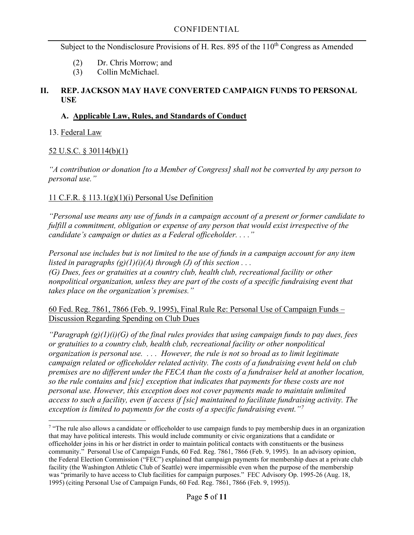- (2) Dr. Chris Morrow; and
- (3) Collin McMichael.

### <span id="page-4-0"></span>**II. REP. JACKSON MAY HAVE CONVERTED CAMPAIGN FUNDS TO PERSONAL USE**

## <span id="page-4-1"></span>**A. Applicable Law, Rules, and Standards of Conduct**

## 13. Federal Law

# 52 U.S.C. § 30114(b)(1)

*"A contribution or donation [to a Member of Congress] shall not be converted by any person to personal use."*

# 11 C.F.R.  $\S$  113.1(g)(1)(i) Personal Use Definition

*"Personal use means any use of funds in a campaign account of a present or former candidate to fulfill a commitment, obligation or expense of any person that would exist irrespective of the candidate's campaign or duties as a Federal officeholder. . . ."*

*Personal use includes but is not limited to the use of funds in a campaign account for any item listed in paragraphs*  $(g)(1)(i)(A)$  *through* (*J*) *of this section*  $\ldots$ *(G) Dues, fees or gratuities at a country club, health club, recreational facility or other nonpolitical organization, unless they are part of the costs of a specific fundraising event that takes place on the organization's premises."*

#### 60 Fed. Reg. 7861, 7866 (Feb. 9, 1995), Final Rule Re: Personal Use of Campaign Funds – Discussion Regarding Spending on Club Dues

*"Paragraph (g)(1)(i)(G) of the final rules provides that using campaign funds to pay dues, fees or gratuities to a country club, health club, recreational facility or other nonpolitical organization is personal use. . . . However, the rule is not so broad as to limit legitimate campaign related or officeholder related activity. The costs of a fundraising event held on club premises are no different under the FECA than the costs of a fundraiser held at another location, so the rule contains and [sic] exception that indicates that payments for these costs are not personal use. However, this exception does not cover payments made to maintain unlimited access to such a facility, even if access if [sic] maintained to facilitate fundraising activity. The exception is limited to payments for the costs of a specific fundraising event."[7](#page-4-2)*

<span id="page-4-2"></span><sup>&</sup>lt;sup>7</sup> "The rule also allows a candidate or officeholder to use campaign funds to pay membership dues in an organization that may have political interests. This would include community or civic organizations that a candidate or officeholder joins in his or her district in order to maintain political contacts with constituents or the business community." Personal Use of Campaign Funds, 60 Fed. Reg. 7861, 7866 (Feb. 9, 1995). In an advisory opinion, the Federal Election Commission ("FEC") explained that campaign payments for membership dues at a private club facility (the Washington Athletic Club of Seattle) were impermissible even when the purpose of the membership was "primarily to have access to Club facilities for campaign purposes." FEC Advisory Op. 1995-26 (Aug. 18, 1995) (citing Personal Use of Campaign Funds, 60 Fed. Reg. 7861, 7866 (Feb. 9, 1995)).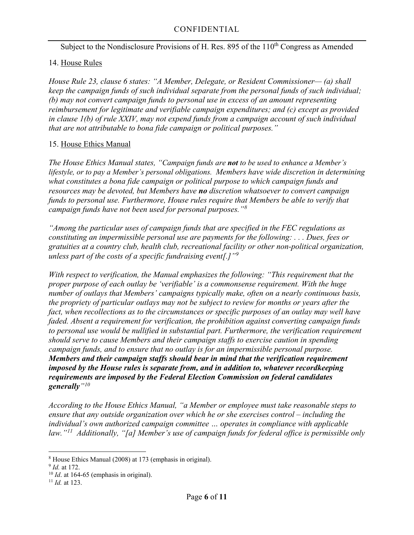### 14. House Rules

*House Rule 23, clause 6 states: "A Member, Delegate, or Resident Commissioner— (a) shall keep the campaign funds of such individual separate from the personal funds of such individual; (b) may not convert campaign funds to personal use in excess of an amount representing reimbursement for legitimate and verifiable campaign expenditures; and (c) except as provided in clause 1(b) of rule XXIV, may not expend funds from a campaign account of such individual that are not attributable to bona fide campaign or political purposes."*

#### 15. House Ethics Manual

*The House Ethics Manual states, "Campaign funds are not to be used to enhance a Member's lifestyle, or to pay a Member's personal obligations. Members have wide discretion in determining what constitutes a bona fide campaign or political purpose to which campaign funds and resources may be devoted, but Members have no discretion whatsoever to convert campaign funds to personal use. Furthermore, House rules require that Members be able to verify that campaign funds have not been used for personal purposes."[8](#page-5-0)*

*"Among the particular uses of campaign funds that are specified in the FEC regulations as constituting an impermissible personal use are payments for the following: . . . Dues, fees or gratuities at a country club, health club, recreational facility or other non-political organization, unless part of the costs of a specific fundraising event[.]"[9](#page-5-1)*

*With respect to verification, the Manual emphasizes the following: "This requirement that the proper purpose of each outlay be 'verifiable' is a commonsense requirement. With the huge number of outlays that Members' campaigns typically make, often on a nearly continuous basis, the propriety of particular outlays may not be subject to review for months or years after the fact, when recollections as to the circumstances or specific purposes of an outlay may well have faded. Absent a requirement for verification, the prohibition against converting campaign funds to personal use would be nullified in substantial part. Furthermore, the verification requirement should serve to cause Members and their campaign staffs to exercise caution in spending campaign funds, and to ensure that no outlay is for an impermissible personal purpose. Members and their campaign staffs should bear in mind that the verification requirement imposed by the House rules is separate from, and in addition to, whatever recordkeeping requirements are imposed by the Federal Election Commission on federal candidates generally"[10](#page-5-2)*

*According to the House Ethics Manual, "a Member or employee must take reasonable steps to ensure that any outside organization over which he or she exercises control – including the individual's own authorized campaign committee … operates in compliance with applicable law."[11](#page-5-3) Additionally, "[a] Member's use of campaign funds for federal office is permissible only* 

<span id="page-5-0"></span><sup>&</sup>lt;sup>8</sup> House Ethics Manual (2008) at 173 (emphasis in original).<br><sup>9</sup> *Id.* at 172.

<span id="page-5-1"></span>

<span id="page-5-2"></span> $10$  *Id.* at 164-65 (emphasis in original).

<span id="page-5-3"></span><sup>11</sup> *Id.* at 123.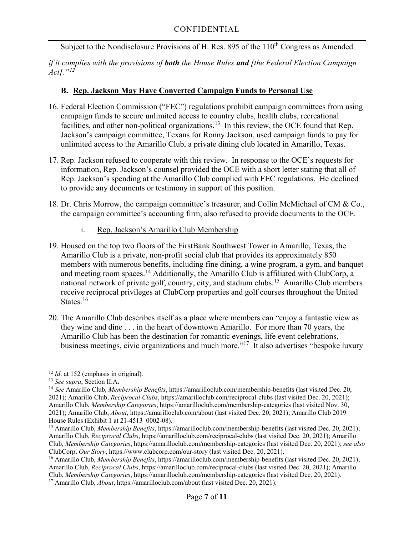*if it complies with the provisions of both the House Rules and [the Federal Election Campaign Act]."[12](#page-6-2)*

# <span id="page-6-0"></span>**B. Rep. Jackson May Have Converted Campaign Funds to Personal Use**

- 16. Federal Election Commission ("FEC") regulations prohibit campaign committees from using campaign funds to secure unlimited access to country clubs, health clubs, recreational facilities, and other non-political organizations.<sup>13</sup> In this review, the OCE found that Rep. Jackson's campaign committee, Texans for Ronny Jackson, used campaign funds to pay for unlimited access to the Amarillo Club, a private dining club located in Amarillo, Texas.
- 17. Rep. Jackson refused to cooperate with this review. In response to the OCE's requests for information, Rep. Jackson's counsel provided the OCE with a short letter stating that all of Rep. Jackson's spending at the Amarillo Club complied with FEC regulations. He declined to provide any documents or testimony in support of this position.
- 18. Dr. Chris Morrow, the campaign committee's treasurer, and Collin McMichael of CM & Co., the campaign committee's accounting firm, also refused to provide documents to the OCE.
	- i. Rep. Jackson's Amarillo Club Membership
- <span id="page-6-1"></span>19. Housed on the top two floors of the FirstBank Southwest Tower in Amarillo, Texas, the Amarillo Club is a private, non-profit social club that provides its approximately 850 members with numerous benefits, including fine dining, a wine program, a gym, and banquet and meeting room spaces.<sup>[14](#page-6-4)</sup> Additionally, the Amarillo Club is affiliated with ClubCorp, a national network of private golf, country, city, and stadium clubs.<sup>15</sup> Amarillo Club members receive reciprocal privileges at ClubCorp properties and golf courses throughout the United States.<sup>[16](#page-6-6)</sup>
- 20. The Amarillo Club describes itself as a place where members can "enjoy a fantastic view as they wine and dine . . . in the heart of downtown Amarillo. For more than 70 years, the Amarillo Club has been the destination for romantic evenings, life event celebrations, business meetings, civic organizations and much more."<sup>[17](#page-6-7)</sup> It also advertises "bespoke luxury

<span id="page-6-2"></span><sup>12</sup> *Id*. at 152 (emphasis in original). 13 *See supra*, Section II.A.

<span id="page-6-3"></span>

<span id="page-6-4"></span><sup>14</sup> *See* Amarillo Club, *Membership Benefits*, https://amarilloclub.com/membership-benefits (last visited Dec. 20, 2021); Amarillo Club, *Reciprocal Clubs*, https://amarilloclub.com/reciprocal-clubs (last visited Dec. 20, 2021); Amarillo Club, *Membership Categories*, https://amarilloclub.com/membership-categories (last visited Nov. 30, 2021); Amarillo Club, *About*, https://amarilloclub.com/about (last visited Dec. 20, 2021); Amarillo Club 2019

<span id="page-6-5"></span><sup>&</sup>lt;sup>15</sup> Amarillo Club, *Membership Benefits*, https://amarilloclub.com/membership-benefits (last visited Dec. 20, 2021); Amarillo Club, *Reciprocal Clubs*, https://amarilloclub.com/reciprocal-clubs (last visited Dec. 20, 2021); Amarillo Club, *Membership Categories*, https://amarilloclub.com/membership-categories (last visited Dec. 20, 2021); *see also*  ClubCorp, *Our Story*, https://www.clubcorp.com/our-story (last visited Dec. 20, 2021). 16 Amarillo Club, *Membership Benefits*, https://amarilloclub.com/membership-benefits (last visited Dec. 20, 2021);

<span id="page-6-6"></span>Amarillo Club, *Reciprocal Clubs*, https://amarilloclub.com/reciprocal-clubs (last visited Dec. 20, 2021); Amarillo Club, *Membership Categories*, https://amarilloclub.com/membership-categories (last visited Dec. 20, 2021).

<span id="page-6-7"></span><sup>17</sup> Amarillo Club, *About*, https://amarilloclub.com/about (last visited Dec. 20, 2021).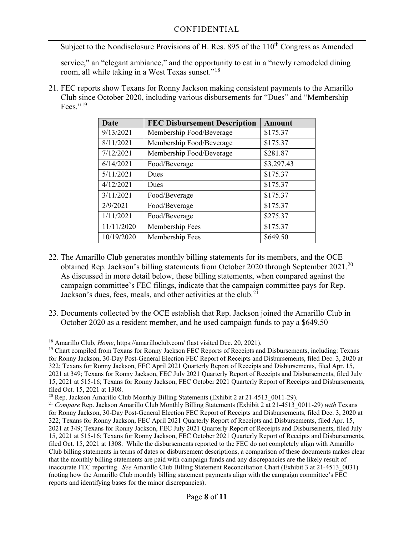service," an "elegant ambiance," and the opportunity to eat in a "newly remodeled dining room, all while taking in a West Texas sunset."<sup>[18](#page-7-0)</sup>

21. FEC reports show Texans for Ronny Jackson making consistent payments to the Amarillo Club since October 2020, including various disbursements for "Dues" and "Membership Fees." $^{19}$  $^{19}$  $^{19}$ 

| <b>Date</b> | <b>FEC Disbursement Description</b> | <b>Amount</b> |
|-------------|-------------------------------------|---------------|
| 9/13/2021   | Membership Food/Beverage            | \$175.37      |
| 8/11/2021   | Membership Food/Beverage            | \$175.37      |
| 7/12/2021   | Membership Food/Beverage            | \$281.87      |
| 6/14/2021   | Food/Beverage                       | \$3,297.43    |
| 5/11/2021   | Dues                                | \$175.37      |
| 4/12/2021   | Dues                                | \$175.37      |
| 3/11/2021   | Food/Beverage                       | \$175.37      |
| 2/9/2021    | Food/Beverage                       | \$175.37      |
| 1/11/2021   | Food/Beverage                       | \$275.37      |
| 11/11/2020  | Membership Fees                     | \$175.37      |
| 10/19/2020  | Membership Fees                     | \$649.50      |

- 22. The Amarillo Club generates monthly billing statements for its members, and the OCE obtained Rep. Jackson's billing statements from October [20](#page-7-2)20 through September  $2021$ <sup>20</sup> As discussed in more detail below, these billing statements, when compared against the campaign committee's FEC filings, indicate that the campaign committee pays for Rep. Jackson's dues, fees, meals, and other activities at the club.<sup>[21](#page-7-3)</sup>
- 23. Documents collected by the OCE establish that Rep. Jackson joined the Amarillo Club in October 2020 as a resident member, and he used campaign funds to pay a \$649.50

<span id="page-7-0"></span><sup>&</sup>lt;sup>18</sup> Amarillo Club, *Home*, https://amarilloclub.com/ (last visited Dec. 20, 2021).

<span id="page-7-1"></span><sup>19</sup> Chart compiled from Texans for Ronny Jackson FEC Reports of Receipts and Disbursements, including: Texans for Ronny Jackson, 30-Day Post-General Election FEC Report of Receipts and Disbursements, filed Dec. 3, 2020 at 322; Texans for Ronny Jackson, FEC April 2021 Quarterly Report of Receipts and Disbursements, filed Apr. 15, 2021 at 349; Texans for Ronny Jackson, FEC July 2021 Quarterly Report of Receipts and Disbursements, filed July 15, 2021 at 515-16; Texans for Ronny Jackson, FEC October 2021 Quarterly Report of Receipts and Disbursements, filed Oct. 15, 2021 at 1308.

<span id="page-7-2"></span><sup>&</sup>lt;sup>20</sup> Rep. Jackson Amarillo Club Monthly Billing Statements (Exhibit 2 at 21-4513  $\,0011-29$ ).

<span id="page-7-3"></span><sup>21</sup> *Compare* Rep. Jackson Amarillo Club Monthly Billing Statements (Exhibit 2 at 21-4513\_0011-29) *with* Texans for Ronny Jackson, 30-Day Post-General Election FEC Report of Receipts and Disbursements, filed Dec. 3, 2020 at 322; Texans for Ronny Jackson, FEC April 2021 Quarterly Report of Receipts and Disbursements, filed Apr. 15, 2021 at 349; Texans for Ronny Jackson, FEC July 2021 Quarterly Report of Receipts and Disbursements, filed July 15, 2021 at 515-16; Texans for Ronny Jackson, FEC October 2021 Quarterly Report of Receipts and Disbursements, filed Oct. 15, 2021 at 1308. While the disbursements reported to the FEC do not completely align with Amarillo Club billing statements in terms of dates or disbursement descriptions, a comparison of these documents makes clear that the monthly billing statements are paid with campaign funds and any discrepancies are the likely result of inaccurate FEC reporting. *See* Amarillo Club Billing Statement Reconciliation Chart (Exhibit 3 at 21-4513\_0031) (noting how the Amarillo Club monthly billing statement payments align with the campaign committee's FEC reports and identifying bases for the minor discrepancies).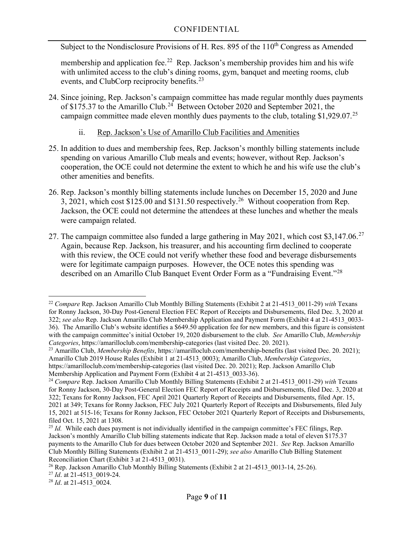Subject to the Nondisclosure Provisions of H. Res. 895 of the 110<sup>th</sup> Congress as Amended

membership and application fee.<sup>[22](#page-8-1)</sup> Rep. Jackson's membership provides him and his wife with unlimited access to the club's dining rooms, gym, banquet and meeting rooms, club events, and ClubCorp reciprocity benefits.<sup>23</sup>

24. Since joining, Rep. Jackson's campaign committee has made regular monthly dues payments of \$175.37 to the Amarillo Club.<sup>[24](#page-8-3)</sup> Between October 2020 and September 2021, the campaign committee made eleven monthly dues payments to the club, totaling \$1,929.07.<sup>[25](#page-8-4)</sup>

#### ii. Rep. Jackson's Use of Amarillo Club Facilities and Amenities

- <span id="page-8-0"></span>25. In addition to dues and membership fees, Rep. Jackson's monthly billing statements include spending on various Amarillo Club meals and events; however, without Rep. Jackson's cooperation, the OCE could not determine the extent to which he and his wife use the club's other amenities and benefits.
- 26. Rep. Jackson's monthly billing statements include lunches on December 15, 2020 and June 3, 2021, which cost \$125.00 and \$131.50 respectively.<sup>26</sup> Without cooperation from Rep. Jackson, the OCE could not determine the attendees at these lunches and whether the meals were campaign related.
- 27. The campaign committee also funded a large gathering in May 2021, which cost \$3,147.06.<sup>27</sup> Again, because Rep. Jackson, his treasurer, and his accounting firm declined to cooperate with this review, the OCE could not verify whether these food and beverage disbursements were for legitimate campaign purposes. However, the OCE notes this spending was described on an Amarillo Club Banquet Event Order Form as a "Fundraising Event."[28](#page-8-7)

<span id="page-8-1"></span><sup>22</sup> *Compare* Rep. Jackson Amarillo Club Monthly Billing Statements (Exhibit 2 at 21-4513\_0011-29) *with* Texans for Ronny Jackson, 30-Day Post-General Election FEC Report of Receipts and Disbursements, filed Dec. 3, 2020 at 322; *see also* Rep. Jackson Amarillo Club Membership Application and Payment Form (Exhibit 4 at 21-4513\_0033- 36). The Amarillo Club's website identifies a \$649.50 application fee for new members, and this figure is consistent with the campaign committee's initial October 19, 2020 disbursement to the club. *See* Amarillo Club, *Membership Categories*, https://amarilloclub.com/membership-categories (last visited Dec. 20. 2021).

<span id="page-8-2"></span><sup>23</sup> Amarillo Club, *Membership Benefits*, https://amarilloclub.com/membership-benefits (last visited Dec. 20. 2021); Amarillo Club 2019 House Rules (Exhibit 1 at 21-4513\_0003); Amarillo Club, *Membership Categories*, https://amarilloclub.com/membership-categories (last visited Dec. 20. 2021); Rep. Jackson Amarillo Club<br>Membership Application and Payment Form (Exhibit 4 at 21-4513 0033-36).

<span id="page-8-3"></span><sup>&</sup>lt;sup>24</sup> Compare Rep. Jackson Amarillo Club Monthly Billing Statements (Exhibit 2 at 21-4513 0011-29) with Texans for Ronny Jackson, 30-Day Post-General Election FEC Report of Receipts and Disbursements, filed Dec. 3, 2020 at 322; Texans for Ronny Jackson, FEC April 2021 Quarterly Report of Receipts and Disbursements, filed Apr. 15, 2021 at 349; Texans for Ronny Jackson, FEC July 2021 Quarterly Report of Receipts and Disbursements, filed July 15, 2021 at 515-16; Texans for Ronny Jackson, FEC October 2021 Quarterly Report of Receipts and Disbursements,

<span id="page-8-4"></span><sup>&</sup>lt;sup>25</sup> *Id.* While each dues payment is not individually identified in the campaign committee's FEC filings, Rep. Jackson's monthly Amarillo Club billing statements indicate that Rep. Jackson made a total of eleven \$175.37 payments to the Amarillo Club for dues between October 2020 and September 2021. *See* Rep. Jackson Amarillo Club Monthly Billing Statements (Exhibit 2 at 21-4513\_0011-29); *see also* Amarillo Club Billing Statement Reconciliation Chart (Exhibit 3 at 21-4513\_0031).

<span id="page-8-5"></span><sup>&</sup>lt;sup>26</sup> Rep. Jackson Amarillo Club Monthly Billing Statements (Exhibit 2 at  $21-4513$  0013-14, 25-26).

<span id="page-8-6"></span><sup>27</sup> *Id*. at 21-4513\_0019-24.

<span id="page-8-7"></span><sup>&</sup>lt;sup>28</sup> *Id.* at 21-4513 0024.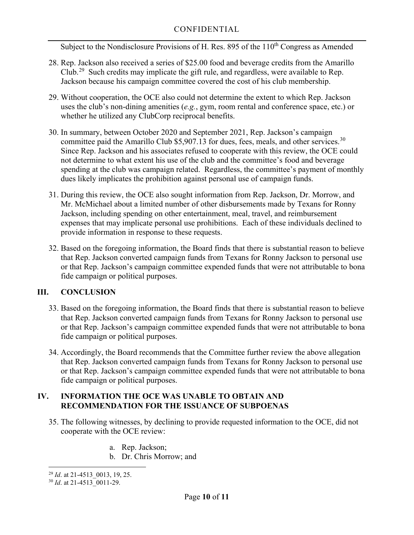Subject to the Nondisclosure Provisions of H. Res. 895 of the 110<sup>th</sup> Congress as Amended

- 28. Rep. Jackson also received a series of \$25.00 food and beverage credits from the Amarillo Club.<sup>29</sup> Such credits may implicate the gift rule, and regardless, were available to Rep. Jackson because his campaign committee covered the cost of his club membership.
- 29. Without cooperation, the OCE also could not determine the extent to which Rep. Jackson uses the club's non-dining amenities (*e.g.*, gym, room rental and conference space, etc.) or whether he utilized any ClubCorp reciprocal benefits.
- 30. In summary, between October 2020 and September 2021, Rep. Jackson's campaign committee paid the Amarillo Club \$5,907.13 for dues, fees, meals, and other services.<sup>[30](#page-9-3)</sup> Since Rep. Jackson and his associates refused to cooperate with this review, the OCE could not determine to what extent his use of the club and the committee's food and beverage spending at the club was campaign related. Regardless, the committee's payment of monthly dues likely implicates the prohibition against personal use of campaign funds.
- 31. During this review, the OCE also sought information from Rep. Jackson, Dr. Morrow, and Mr. McMichael about a limited number of other disbursements made by Texans for Ronny Jackson, including spending on other entertainment, meal, travel, and reimbursement expenses that may implicate personal use prohibitions. Each of these individuals declined to provide information in response to these requests.
- 32. Based on the foregoing information, the Board finds that there is substantial reason to believe that Rep. Jackson converted campaign funds from Texans for Ronny Jackson to personal use or that Rep. Jackson's campaign committee expended funds that were not attributable to bona fide campaign or political purposes.

### <span id="page-9-0"></span>**III. CONCLUSION**

- 33. Based on the foregoing information, the Board finds that there is substantial reason to believe that Rep. Jackson converted campaign funds from Texans for Ronny Jackson to personal use or that Rep. Jackson's campaign committee expended funds that were not attributable to bona fide campaign or political purposes.
- 34. Accordingly, the Board recommends that the Committee further review the above allegation that Rep. Jackson converted campaign funds from Texans for Ronny Jackson to personal use or that Rep. Jackson's campaign committee expended funds that were not attributable to bona fide campaign or political purposes.

### <span id="page-9-1"></span>**IV. INFORMATION THE OCE WAS UNABLE TO OBTAIN AND RECOMMENDATION FOR THE ISSUANCE OF SUBPOENAS**

- 35. The following witnesses, by declining to provide requested information to the OCE, did not cooperate with the OCE review:
	- a. Rep. Jackson;
	- b. Dr. Chris Morrow; and

<span id="page-9-2"></span><sup>&</sup>lt;sup>29</sup> *Id.* at 21-4513 0013, 19, 25.

<span id="page-9-3"></span><sup>&</sup>lt;sup>30</sup> *Id.* at 21-4513 0011-29.